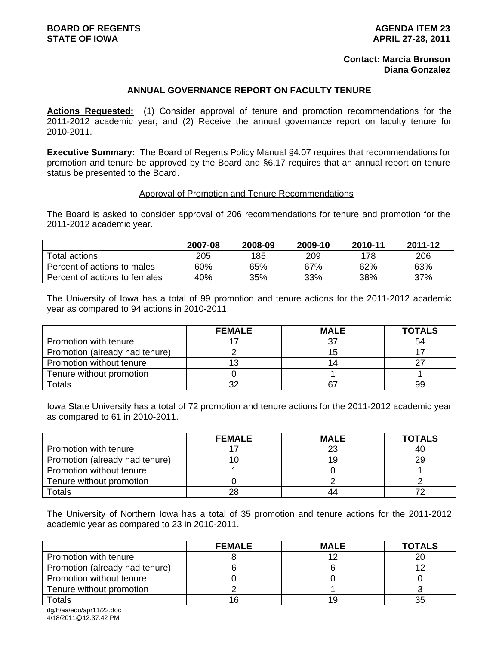# **Contact: Marcia Brunson Diana Gonzalez**

# **ANNUAL GOVERNANCE REPORT ON FACULTY TENURE**

**Actions Requested:** (1) Consider approval of tenure and promotion recommendations for the 2011-2012 academic year; and (2) Receive the annual governance report on faculty tenure for 2010-2011.

**Executive Summary:** The Board of Regents Policy Manual §4.07 requires that recommendations for promotion and tenure be approved by the Board and §6.17 requires that an annual report on tenure status be presented to the Board.

#### Approval of Promotion and Tenure Recommendations

The Board is asked to consider approval of 206 recommendations for tenure and promotion for the 2011-2012 academic year.

|                               | 2007-08 | 2008-09 | 2009-10 | 2010-11 | 2011-12 |
|-------------------------------|---------|---------|---------|---------|---------|
| Total actions                 | 205     | 185     | 209     | 178     | 206     |
| Percent of actions to males   | 60%     | 65%     | 67%     | 62%     | 63%     |
| Percent of actions to females | 40%     | 35%     | 33%     | 38%     | 37%     |

The University of Iowa has a total of 99 promotion and tenure actions for the 2011-2012 academic year as compared to 94 actions in 2010-2011.

|                                | <b>FEMALE</b> | <b>MALE</b> | <b>TOTALS</b> |
|--------------------------------|---------------|-------------|---------------|
| Promotion with tenure          |               | 27          | 54            |
| Promotion (already had tenure) |               | 15          |               |
| Promotion without tenure       |               | 14          |               |
| Tenure without promotion       |               |             |               |
| Totals                         | າເ            | 67          | 99            |

Iowa State University has a total of 72 promotion and tenure actions for the 2011-2012 academic year as compared to 61 in 2010-2011.

|                                | <b>FEMALE</b> | <b>MALE</b> | <b>TOTALS</b> |
|--------------------------------|---------------|-------------|---------------|
| Promotion with tenure          |               | 23          | 40            |
| Promotion (already had tenure) |               | 19          | 29            |
| Promotion without tenure       |               |             |               |
| Tenure without promotion       |               |             |               |
| Totals                         | 28            | 44          |               |

The University of Northern Iowa has a total of 35 promotion and tenure actions for the 2011-2012 academic year as compared to 23 in 2010-2011.

|                                | <b>FEMALE</b> | <b>MALE</b> | <b>TOTALS</b> |
|--------------------------------|---------------|-------------|---------------|
| Promotion with tenure          |               |             | 20            |
| Promotion (already had tenure) |               |             |               |
| Promotion without tenure       |               |             |               |
| Tenure without promotion       |               |             |               |
| Totals                         |               | 19          |               |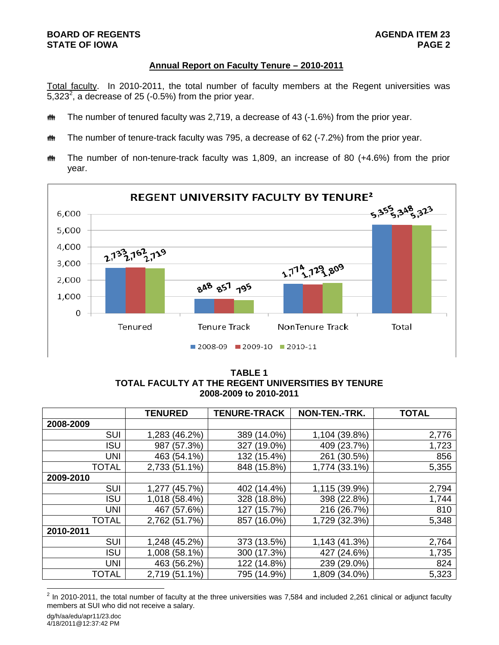# **BOARD OF REGENTS AGENDA ITEM 23 STATE OF IOWA**

# **Annual Report on Faculty Tenure – 2010-2011**

Total faculty. In 2010-2011, the total number of faculty members at the Regent universities was 5,323<sup>2</sup>, a decrease of 25 (-0.5%) from the prior year.

- **##** The number of tenured faculty was 2,719, a decrease of 43 (-1.6%) from the prior year.
- **##** The number of tenure-track faculty was 795, a decrease of 62 (-7.2%) from the prior year.
- $m$  The number of non-tenure-track faculty was 1,809, an increase of 80 (+4.6%) from the prior year.



**TABLE 1 TOTAL FACULTY AT THE REGENT UNIVERSITIES BY TENURE 2008-2009 to 2010-2011** 

|              | <b>TENURED</b>   | <b>TENURE-TRACK</b> | NON-TEN.-TRK. | <b>TOTAL</b> |
|--------------|------------------|---------------------|---------------|--------------|
| 2008-2009    |                  |                     |               |              |
| <b>SUI</b>   | 1,283 (46.2%)    | 389 (14.0%)         | 1,104 (39.8%) | 2,776        |
| <b>ISU</b>   | (57.3%)<br>987   | $(19.0\%)$<br>327   | 409 (23.7%)   | 1,723        |
| <b>UNI</b>   | 463 (54.1%)      | 132 (15.4%)         | 261 (30.5%)   | 856          |
| <b>TOTAL</b> | 2,733 (51.1%)    | 848 (15.8%)         | 1,774 (33.1%) | 5,355        |
| 2009-2010    |                  |                     |               |              |
| <b>SUI</b>   | (45.7%)<br>1.277 | 402 (14.4%)         | 1,115 (39.9%) | 2,794        |
| <b>ISU</b>   | 1,018 (58.4%)    | 328 (18.8%)         | 398 (22.8%)   | 1,744        |
| <b>UNI</b>   | 467 (57.6%)      | (15.7%)<br>127      | 216 (26.7%)   | 810          |
| <b>TOTAL</b> | 2,762 (51.7%)    | $(16.0\%)$<br>857   | 1,729 (32.3%) | 5,348        |
| 2010-2011    |                  |                     |               |              |
| <b>SUI</b>   | 1,248 (45.2%)    | 373 (13.5%)         | 1,143 (41.3%) | 2,764        |
| <b>ISU</b>   | 1,008 (58.1%)    | 300 (17.3%)         | 427 (24.6%)   | 1,735        |
| <b>UNI</b>   | 463 (56.2%)      | 122 (14.8%)         | 239 (29.0%)   | 824          |
| <b>TOTAL</b> | 2,719 (51.1%)    | 795 (14.9%)         | 1,809 (34.0%) | 5,323        |

<sup>&</sup>lt;u>2</u><br><sup>2</sup> In 2010-2011, the total number of faculty at the three universities was 7,584 and included 2,261 clinical or adjunct faculty members at SUI who did not receive a salary.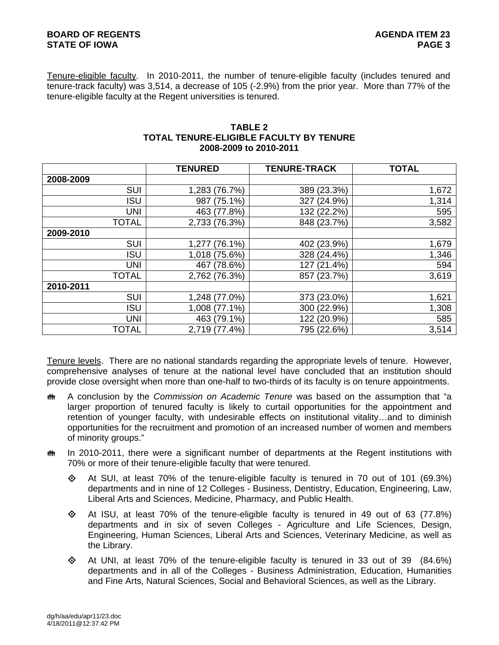Tenure-eligible faculty. In 2010-2011, the number of tenure-eligible faculty (includes tenured and tenure-track faculty) was 3,514, a decrease of 105 (-2.9%) from the prior year. More than 77% of the tenure-eligible faculty at the Regent universities is tenured.

# **TABLE 2 TOTAL TENURE-ELIGIBLE FACULTY BY TENURE 2008-2009 to 2010-2011**

|              | <b>TENURED</b>      | <b>TENURE-TRACK</b> | <b>TOTAL</b> |
|--------------|---------------------|---------------------|--------------|
| 2008-2009    |                     |                     |              |
| SUI          | 1,283 (76.7%)       | 389 (23.3%)         | 1,672        |
| <b>ISU</b>   | 987 (75.1%)         | 327 (24.9%)         | 1,314        |
| UNI          | 463 (77.8%)         | 132 (22.2%)         | 595          |
| <b>TOTAL</b> | 2,733 (76.3%)       | 848 (23.7%)         | 3,582        |
| 2009-2010    |                     |                     |              |
| SUI          | $(76.1\%)$<br>1.277 | 402 (23.9%)         | 1,679        |
| <b>ISU</b>   | 1,018 (75.6%)       | 328 (24.4%)         | 1,346        |
| UNI          | 467 (78.6%)         | 127 (21.4%)         | 594          |
| <b>TOTAL</b> | 2,762 (76.3%)       | 857 (23.7%)         | 3,619        |
| 2010-2011    |                     |                     |              |
| <b>SUI</b>   | 1,248 (77.0%)       | 373 (23.0%)         | 1,621        |
| <b>ISU</b>   | 1,008 (77.1%)       | 300 (22.9%)         | 1,308        |
| <b>UNI</b>   | 463 (79.1%)         | 122 (20.9%)         | 585          |
| <b>TOTAL</b> | 2,719 (77.4%)       | 795 (22.6%)         | 3,514        |

Tenure levels. There are no national standards regarding the appropriate levels of tenure. However, comprehensive analyses of tenure at the national level have concluded that an institution should provide close oversight when more than one-half to two-thirds of its faculty is on tenure appointments.

- A conclusion by the *Commission on Academic Tenure* was based on the assumption that "a larger proportion of tenured faculty is likely to curtail opportunities for the appointment and retention of younger faculty, with undesirable effects on institutional vitality…and to diminish opportunities for the recruitment and promotion of an increased number of women and members of minority groups."
- $\ddot{\mathbf{m}}$  In 2010-2011, there were a significant number of departments at the Regent institutions with 70% or more of their tenure-eligible faculty that were tenured.
	- $\Diamond$  At SUI, at least 70% of the tenure-eligible faculty is tenured in 70 out of 101 (69.3%) departments and in nine of 12 Colleges - Business, Dentistry, Education, Engineering, Law, Liberal Arts and Sciences, Medicine, Pharmacy, and Public Health.
	- $\Diamond$  At ISU, at least 70% of the tenure-eligible faculty is tenured in 49 out of 63 (77.8%) departments and in six of seven Colleges - Agriculture and Life Sciences, Design, Engineering, Human Sciences, Liberal Arts and Sciences, Veterinary Medicine, as well as the Library.
	- $\Diamond$  At UNI, at least 70% of the tenure-eligible faculty is tenured in 33 out of 39 (84.6%) departments and in all of the Colleges - Business Administration, Education, Humanities and Fine Arts, Natural Sciences, Social and Behavioral Sciences, as well as the Library.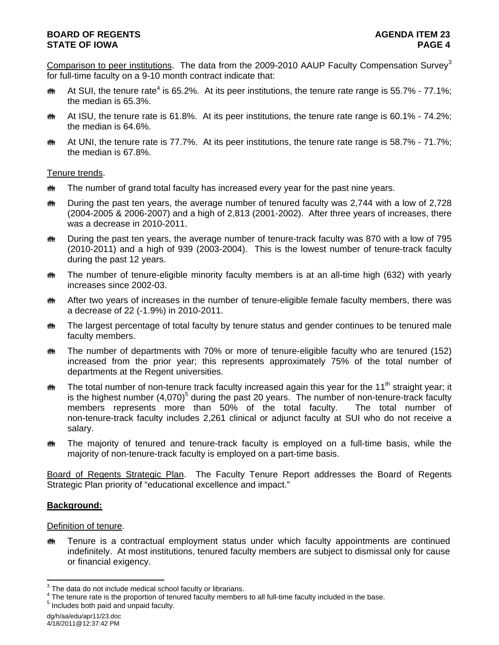Comparison to peer institutions. The data from the 2009-2010 AAUP Faculty Compensation Survey<sup>3</sup> for full-time faculty on a 9-10 month contract indicate that:

- **#\*** At SUI, the tenure rate<sup>4</sup> is 65.2%. At its peer institutions, the tenure rate range is 55.7% 77.1%; the median is 65.3%.
- **##** At ISU, the tenure rate is 61.8%. At its peer institutions, the tenure rate range is 60.1% 74.2%; the median is 64.6%.
- $m$  At UNI, the tenure rate is 77.7%. At its peer institutions, the tenure rate range is 58.7% 71.7%; the median is 67.8%.

# Tenure trends.

- **##** The number of grand total faculty has increased every year for the past nine years.
- **##** During the past ten years, the average number of tenured faculty was 2,744 with a low of 2,728 (2004-2005 & 2006-2007) and a high of 2,813 (2001-2002). After three years of increases, there was a decrease in 2010-2011.
- **##** During the past ten years, the average number of tenure-track faculty was 870 with a low of 795 (2010-2011) and a high of 939 (2003-2004). This is the lowest number of tenure-track faculty during the past 12 years.
- the The number of tenure-eligible minority faculty members is at an all-time high (632) with yearly increases since 2002-03.
- **##** After two years of increases in the number of tenure-eligible female faculty members, there was a decrease of 22 (-1.9%) in 2010-2011.
- **##** The largest percentage of total faculty by tenure status and gender continues to be tenured male faculty members.
- **##** The number of departments with 70% or more of tenure-eligible faculty who are tenured (152) increased from the prior year; this represents approximately 75% of the total number of departments at the Regent universities.
- **##** The total number of non-tenure track faculty increased again this year for the 11<sup>th</sup> straight year; it is the highest number  $(4,070)^5$  during the past 20 years. The number of non-tenure-track faculty members represents more than 50% of the total faculty. The total number of non-tenure-track faculty includes 2,261 clinical or adjunct faculty at SUI who do not receive a salary.
- **##** The majority of tenured and tenure-track faculty is employed on a full-time basis, while the majority of non-tenure-track faculty is employed on a part-time basis.

Board of Regents Strategic Plan. The Faculty Tenure Report addresses the Board of Regents Strategic Plan priority of "educational excellence and impact."

# **Background:**

# Definition of tenure.

**##** Tenure is a contractual employment status under which faculty appointments are continued indefinitely. At most institutions, tenured faculty members are subject to dismissal only for cause or financial exigency.

**EXECUTE:**<br><sup>3</sup> The data do not include medical school faculty or librarians.

 $^{4}$  The tenure rate is the proportion of tenured faculty members to all full-time faculty included in the base.<br><sup>5</sup> includes heth neid and unneid faculty.

 $<sup>5</sup>$  Includes both paid and unpaid faculty.</sup>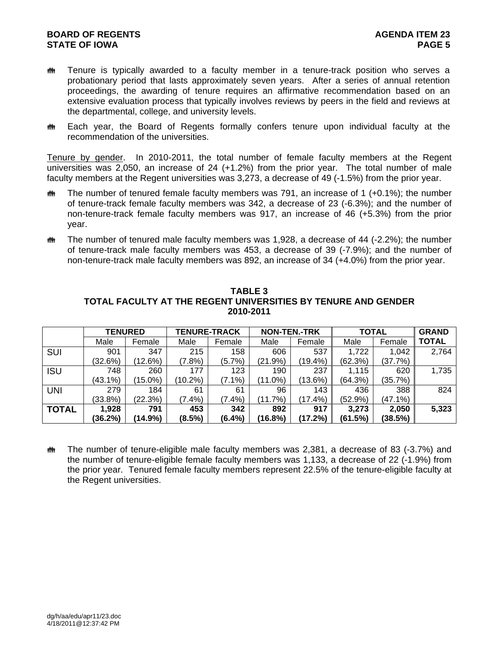# **BOARD OF REGENTS** AGENUS AGENDA ITEM 23 **STATE OF IOWA** PAGE 5

- **##** Tenure is typically awarded to a faculty member in a tenure-track position who serves a probationary period that lasts approximately seven years. After a series of annual retention proceedings, the awarding of tenure requires an affirmative recommendation based on an extensive evaluation process that typically involves reviews by peers in the field and reviews at the departmental, college, and university levels.
- Each year, the Board of Regents formally confers tenure upon individual faculty at the recommendation of the universities.

Tenure by gender. In 2010-2011, the total number of female faculty members at the Regent universities was 2,050, an increase of 24 (+1.2%) from the prior year. The total number of male faculty members at the Regent universities was 3,273, a decrease of 49 (-1.5%) from the prior year.

- $\ddot{\mathbf{m}}$  The number of tenured female faculty members was 791, an increase of 1 (+0.1%); the number of tenure-track female faculty members was 342, a decrease of 23 (-6.3%); and the number of non-tenure-track female faculty members was 917, an increase of 46 (+5.3%) from the prior year.
- $m$  The number of tenured male faculty members was 1,928, a decrease of 44 (-2.2%); the number of tenure-track male faculty members was 453, a decrease of 39 (-7.9%); and the number of non-tenure-track male faculty members was 892, an increase of 34 (+4.0%) from the prior year.

|              | <b>TENURED</b> |         | <b>TENURE-TRACK</b> |           | <b>NON-TEN.-TRK</b> |            | <b>TOTAL</b> |            | <b>GRAND</b> |
|--------------|----------------|---------|---------------------|-----------|---------------------|------------|--------------|------------|--------------|
|              | Male           | Female  | Male                | Female    | Male                | Female     | Male         | Female     | <b>TOTAL</b> |
| <b>SUI</b>   | 901            | 347     | 215                 | 158       | 606                 | 537        | 1,722        | 1.042      | 2,764        |
|              | (32.6%)        | (12.6%) | (7.8%)              | (5.7%)    | (21.9%)             | $(19.4\%)$ | (62.3%)      | (37.7%)    |              |
| <b>ISU</b>   | 748            | 260     | 177                 | 123       | 190                 | 237        | 1.115        | 620        | 1,735        |
|              | $(43.1\%)$     | (15.0%) | (10.2%)             | $(7.1\%)$ | $(11.0\%)$          | $(13.6\%)$ | (64.3%)      | (35.7%)    |              |
| UNI          | 279            | 184     | 61                  | 61        | 96                  | 143        | 436          | 388        | 824          |
|              | (33.8%)        | (22.3%) | $(7.4\%)$           | $(7.4\%)$ | (11.7%)             | (17.4%)    | (52.9%)      | $(47.1\%)$ |              |
| <b>TOTAL</b> | 1,928          | 791     | 453                 | 342       | 892                 | 917        | 3,273        | 2,050      | 5,323        |
|              | (36.2%)        | (14.9%) | (8.5%)              | $(6.4\%)$ | (16.8%)             | (17.2%)    | (61.5%)      | (38.5%)    |              |

**TABLE 3 TOTAL FACULTY AT THE REGENT UNIVERSITIES BY TENURE AND GENDER 2010-2011** 

**##** The number of tenure-eligible male faculty members was 2,381, a decrease of 83 (-3.7%) and the number of tenure-eligible female faculty members was 1,133, a decrease of 22 (-1.9%) from the prior year. Tenured female faculty members represent 22.5% of the tenure-eligible faculty at the Regent universities.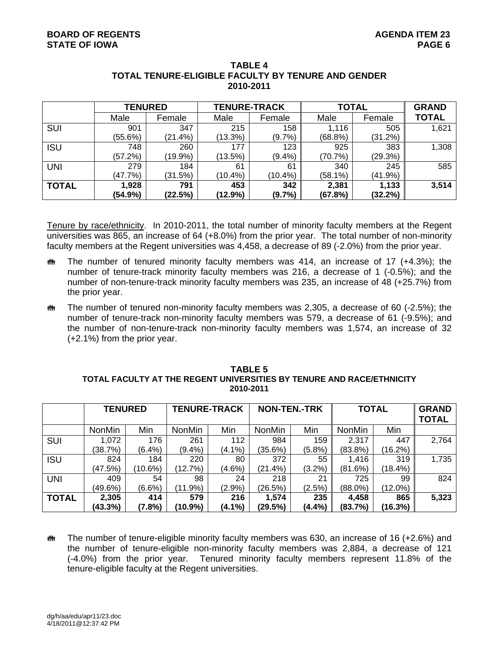|              | <b>TENURED</b> |         | <b>TENURE-TRACK</b> |            | <b>TOTAL</b> | <b>GRAND</b> |              |
|--------------|----------------|---------|---------------------|------------|--------------|--------------|--------------|
|              | Male           | Female  | Male                | Female     | Male         | Female       | <b>TOTAL</b> |
| SUI          | 901            | 347     | 215                 | 158        | 1,116        | 505          | 1,621        |
|              | (55.6%)        | (21.4%) | (13.3%)             | $(9.7\%)$  | $(68.8\%)$   | (31.2%)      |              |
| <b>ISU</b>   | 748            | 260     | 177                 | 123        | 925          | 383          | 1,308        |
|              | (57.2%)        | (19.9%) | (13.5%)             | $(9.4\%)$  | (70.7%)      | (29.3%)      |              |
| <b>UNI</b>   | 279            | 184     | 61                  | 61         | 340          | 245          | 585          |
|              | (47.7%)        | (31.5%) | $(10.4\%)$          | $(10.4\%)$ | (58.1%)      | $(41.9\%)$   |              |
| <b>TOTAL</b> | 1,928          | 791     | 453                 | 342        | 2,381        | 1,133        | 3,514        |
|              | (54.9%)        | (22.5%) | (12.9%)             | $(9.7\%)$  | (67.8%)      | (32.2%)      |              |

#### **TABLE 4 TOTAL TENURE-ELIGIBLE FACULTY BY TENURE AND GENDER 2010-2011**

Tenure by race/ethnicity. In 2010-2011, the total number of minority faculty members at the Regent universities was 865, an increase of 64 (+8.0%) from the prior year. The total number of non-minority faculty members at the Regent universities was 4,458, a decrease of 89 (-2.0%) from the prior year.

- $m$  The number of tenured minority faculty members was 414, an increase of 17 (+4.3%); the number of tenure-track minority faculty members was 216, a decrease of 1 (-0.5%); and the number of non-tenure-track minority faculty members was 235, an increase of 48 (+25.7%) from the prior year.
- $m$  The number of tenured non-minority faculty members was 2,305, a decrease of 60 (-2.5%); the number of tenure-track non-minority faculty members was 579, a decrease of 61 (-9.5%); and the number of non-tenure-track non-minority faculty members was 1,574, an increase of 32 (+2.1%) from the prior year.

# **2010-2011**  TENURED TENURE-TRACK NON-TEN.-TRK TOTAL GRAND

**TABLE 5 TOTAL FACULTY AT THE REGENT UNIVERSITIES BY TENURE AND RACE/ETHNICITY** 

|              |               |            |               |           |               |           |               |            | <b>TOTAL</b> |
|--------------|---------------|------------|---------------|-----------|---------------|-----------|---------------|------------|--------------|
|              | <b>NonMin</b> | Min        | <b>NonMin</b> | Min       | <b>NonMin</b> | Min       | <b>NonMin</b> | Min        |              |
| <b>SUI</b>   | 1,072         | 176        | 261           | 112       | 984           | 159       | 2,317         | 447        | 2,764        |
|              | (38.7%)       | $(6.4\%)$  | $(9.4\%)$     | $(4.1\%)$ | (35.6%)       | $(5.8\%)$ | (83.8%)       | (16.2%)    |              |
| <b>ISU</b>   | 824           | 184        | 220           | 80        | 372           | 55        | 1.416         | 319        | 1,735        |
|              | (47.5%)       | $(10.6\%)$ | (12.7%)       | $(4.6\%)$ | $(21.4\%)$    | $(3.2\%)$ | (81.6%)       | (18.4%)    |              |
| UNI          | 409           | 54         | 98            | 24        | 218           | 21        | 725           | 99         | 824          |
|              | (49.6%)       | $(6.6\%)$  | $(11.9\%)$    | $(2.9\%)$ | (26.5%)       | (2.5%)    | $(88.0\%)$    | $(12.0\%)$ |              |
| <b>TOTAL</b> | 2,305         | 414        | 579           | 216       | 1,574         | 235       | 4,458         | 865        | 5,323        |
|              | (43.3%)       | (7.8%)     | $(10.9\%)$    | $(4.1\%)$ | (29.5%)       | $(4.4\%)$ | (83.7%)       | (16.3%)    |              |

 $m$  The number of tenure-eligible minority faculty members was 630, an increase of 16 (+2.6%) and the number of tenure-eligible non-minority faculty members was 2,884, a decrease of 121 (-4.0%) from the prior year. Tenured minority faculty members represent 11.8% of the tenure-eligible faculty at the Regent universities.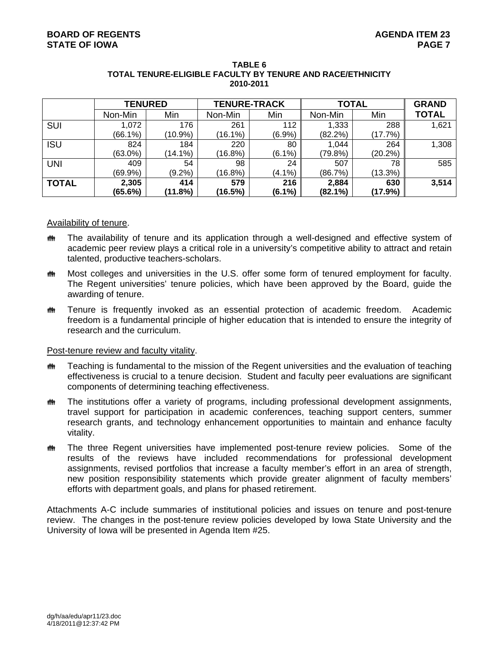|              | <b>TENURED</b> |            | <b>TENURE-TRACK</b> |           | <b>TOTAL</b> | <b>GRAND</b> |              |
|--------------|----------------|------------|---------------------|-----------|--------------|--------------|--------------|
|              | Non-Min        | Min        | Non-Min             | Min       | Non-Min      | Min          | <b>TOTAL</b> |
| <b>SUI</b>   | 1,072          | 176        | 261                 | 112       | 1,333        | 288          | 1,621        |
|              | $(66.1\%)$     | $(10.9\%)$ | $(16.1\%)$          | (6.9%)    | (82.2%)      | (17.7%)      |              |
| <b>ISU</b>   | 824            | 184        | 220                 | 80        | 1,044        | 264          | 1,308        |
|              | $(63.0\%)$     | $(14.1\%)$ | (16.8%)             | $(6.1\%)$ | (79.8%)      | $(20.2\%)$   |              |
| <b>UNI</b>   | 409            | 54         | 98                  | 24        | 507          | 78           | 585          |
|              | $(69.9\%)$     | $(9.2\%)$  | (16.8%)             | $(4.1\%)$ | (86.7%)      | (13.3%)      |              |
| <b>TOTAL</b> | 2,305          | 414        | 579                 | 216       | 2,884        | 630          | 3,514        |
|              | (65.6%)        | (11.8%)    | (16.5%)             | $(6.1\%)$ | $(82.1\%)$   | (17.9%)      |              |

#### **TABLE 6 TOTAL TENURE-ELIGIBLE FACULTY BY TENURE AND RACE/ETHNICITY 2010-2011**

#### Availability of tenure.

- **##** The availability of tenure and its application through a well-designed and effective system of academic peer review plays a critical role in a university's competitive ability to attract and retain talented, productive teachers-scholars.
- **\*\*\*** Most colleges and universities in the U.S. offer some form of tenured employment for faculty. The Regent universities' tenure policies, which have been approved by the Board, guide the awarding of tenure.
- **##** Tenure is frequently invoked as an essential protection of academic freedom. Academic freedom is a fundamental principle of higher education that is intended to ensure the integrity of research and the curriculum.

# Post-tenure review and faculty vitality.

- **##** Teaching is fundamental to the mission of the Regent universities and the evaluation of teaching effectiveness is crucial to a tenure decision. Student and faculty peer evaluations are significant components of determining teaching effectiveness.
- **##** The institutions offer a variety of programs, including professional development assignments, travel support for participation in academic conferences, teaching support centers, summer research grants, and technology enhancement opportunities to maintain and enhance faculty vitality.
- **##** The three Regent universities have implemented post-tenure review policies. Some of the results of the reviews have included recommendations for professional development assignments, revised portfolios that increase a faculty member's effort in an area of strength, new position responsibility statements which provide greater alignment of faculty members' efforts with department goals, and plans for phased retirement.

Attachments A-C include summaries of institutional policies and issues on tenure and post-tenure review. The changes in the post-tenure review policies developed by Iowa State University and the University of Iowa will be presented in Agenda Item #25.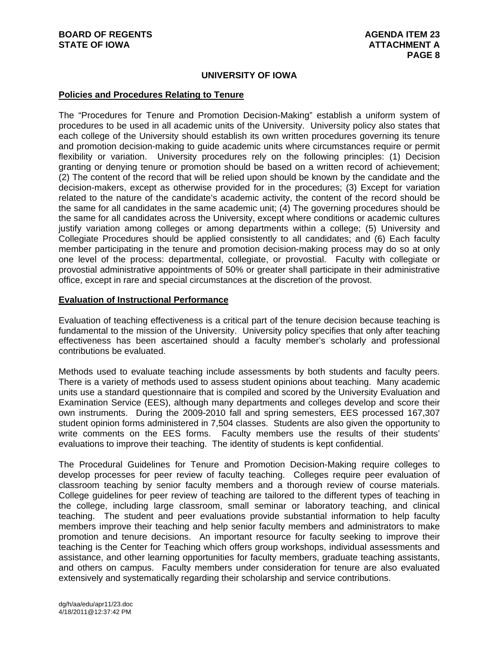# **UNIVERSITY OF IOWA**

#### **Policies and Procedures Relating to Tenure**

The "Procedures for Tenure and Promotion Decision-Making" establish a uniform system of procedures to be used in all academic units of the University. University policy also states that each college of the University should establish its own written procedures governing its tenure and promotion decision-making to guide academic units where circumstances require or permit flexibility or variation. University procedures rely on the following principles: (1) Decision granting or denying tenure or promotion should be based on a written record of achievement; (2) The content of the record that will be relied upon should be known by the candidate and the decision-makers, except as otherwise provided for in the procedures; (3) Except for variation related to the nature of the candidate's academic activity, the content of the record should be the same for all candidates in the same academic unit; (4) The governing procedures should be the same for all candidates across the University, except where conditions or academic cultures justify variation among colleges or among departments within a college; (5) University and Collegiate Procedures should be applied consistently to all candidates; and (6) Each faculty member participating in the tenure and promotion decision-making process may do so at only one level of the process: departmental, collegiate, or provostial. Faculty with collegiate or provostial administrative appointments of 50% or greater shall participate in their administrative office, except in rare and special circumstances at the discretion of the provost.

# **Evaluation of Instructional Performance**

Evaluation of teaching effectiveness is a critical part of the tenure decision because teaching is fundamental to the mission of the University. University policy specifies that only after teaching effectiveness has been ascertained should a faculty member's scholarly and professional contributions be evaluated.

Methods used to evaluate teaching include assessments by both students and faculty peers. There is a variety of methods used to assess student opinions about teaching. Many academic units use a standard questionnaire that is compiled and scored by the University Evaluation and Examination Service (EES), although many departments and colleges develop and score their own instruments. During the 2009-2010 fall and spring semesters, EES processed 167,307 student opinion forms administered in 7,504 classes. Students are also given the opportunity to write comments on the EES forms. Faculty members use the results of their students' evaluations to improve their teaching. The identity of students is kept confidential.

The Procedural Guidelines for Tenure and Promotion Decision-Making require colleges to develop processes for peer review of faculty teaching. Colleges require peer evaluation of classroom teaching by senior faculty members and a thorough review of course materials. College guidelines for peer review of teaching are tailored to the different types of teaching in the college, including large classroom, small seminar or laboratory teaching, and clinical teaching. The student and peer evaluations provide substantial information to help faculty members improve their teaching and help senior faculty members and administrators to make promotion and tenure decisions. An important resource for faculty seeking to improve their teaching is the Center for Teaching which offers group workshops, individual assessments and assistance, and other learning opportunities for faculty members, graduate teaching assistants, and others on campus. Faculty members under consideration for tenure are also evaluated extensively and systematically regarding their scholarship and service contributions.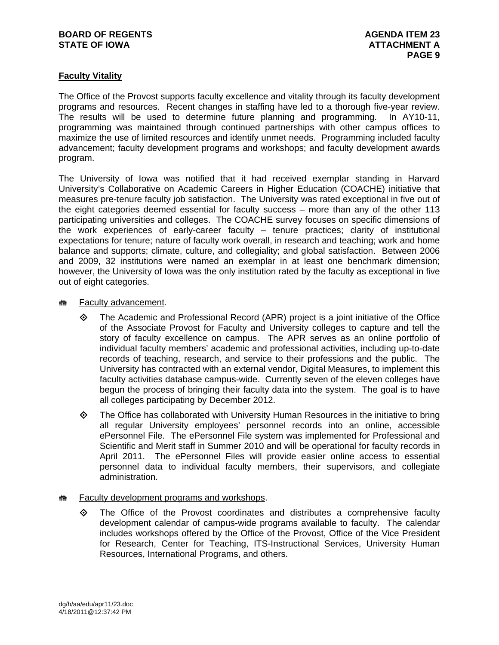# **BOARD OF REGENTS AGENDA ITEM 23** STATE OF IOWA **ATTACHMENT A**

# **Faculty Vitality**

The Office of the Provost supports faculty excellence and vitality through its faculty development programs and resources. Recent changes in staffing have led to a thorough five-year review. The results will be used to determine future planning and programming. In AY10-11, programming was maintained through continued partnerships with other campus offices to maximize the use of limited resources and identify unmet needs. Programming included faculty advancement; faculty development programs and workshops; and faculty development awards program.

The University of Iowa was notified that it had received exemplar standing in Harvard University's Collaborative on Academic Careers in Higher Education (COACHE) initiative that measures pre-tenure faculty job satisfaction. The University was rated exceptional in five out of the eight categories deemed essential for faculty success – more than any of the other 113 participating universities and colleges. The COACHE survey focuses on specific dimensions of the work experiences of early-career faculty – tenure practices; clarity of institutional expectations for tenure; nature of faculty work overall, in research and teaching; work and home balance and supports; climate, culture, and collegiality; and global satisfaction. Between 2006 and 2009, 32 institutions were named an exemplar in at least one benchmark dimension; however, the University of Iowa was the only institution rated by the faculty as exceptional in five out of eight categories.

# **## Faculty advancement.**

- $\Diamond$  The Academic and Professional Record (APR) project is a joint initiative of the Office of the Associate Provost for Faculty and University colleges to capture and tell the story of faculty excellence on campus. The APR serves as an online portfolio of individual faculty members' academic and professional activities, including up-to-date records of teaching, research, and service to their professions and the public. The University has contracted with an external vendor, Digital Measures, to implement this faculty activities database campus-wide. Currently seven of the eleven colleges have begun the process of bringing their faculty data into the system. The goal is to have all colleges participating by December 2012.
- $\diamond$  The Office has collaborated with University Human Resources in the initiative to bring all regular University employees' personnel records into an online, accessible ePersonnel File. The ePersonnel File system was implemented for Professional and Scientific and Merit staff in Summer 2010 and will be operational for faculty records in April 2011. The ePersonnel Files will provide easier online access to essential personnel data to individual faculty members, their supervisors, and collegiate administration.

# **## Faculty development programs and workshops.**

 $\Leftrightarrow$  The Office of the Provost coordinates and distributes a comprehensive faculty development calendar of campus-wide programs available to faculty. The calendar includes workshops offered by the Office of the Provost, Office of the Vice President for Research, Center for Teaching, ITS-Instructional Services, University Human Resources, International Programs, and others.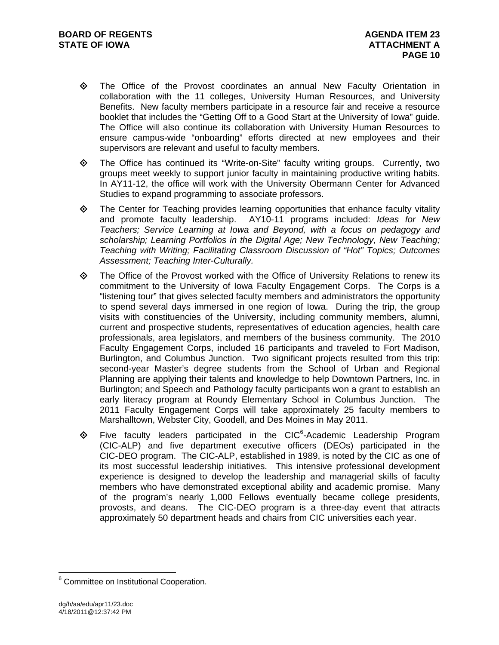- The Office of the Provost coordinates an annual New Faculty Orientation in collaboration with the 11 colleges, University Human Resources, and University Benefits. New faculty members participate in a resource fair and receive a resource booklet that includes the "Getting Off to a Good Start at the University of Iowa" guide. The Office will also continue its collaboration with University Human Resources to ensure campus-wide "onboarding" efforts directed at new employees and their supervisors are relevant and useful to faculty members.
- The Office has continued its "Write-on-Site" faculty writing groups. Currently, two groups meet weekly to support junior faculty in maintaining productive writing habits. In AY11-12, the office will work with the University Obermann Center for Advanced Studies to expand programming to associate professors.
- $\Leftrightarrow$  The Center for Teaching provides learning opportunities that enhance faculty vitality and promote faculty leadership. AY10-11 programs included: *Ideas for New Teachers; Service Learning at Iowa and Beyond, with a focus on pedagogy and scholarship; Learning Portfolios in the Digital Age; New Technology, New Teaching; Teaching with Writing; Facilitating Classroom Discussion of "Hot" Topics; Outcomes Assessment; Teaching Inter-Culturally.*
- $\Leftrightarrow$  The Office of the Provost worked with the Office of University Relations to renew its commitment to the University of Iowa Faculty Engagement Corps. The Corps is a "listening tour" that gives selected faculty members and administrators the opportunity to spend several days immersed in one region of Iowa. During the trip, the group visits with constituencies of the University, including community members, alumni, current and prospective students, representatives of education agencies, health care professionals, area legislators, and members of the business community. The 2010 Faculty Engagement Corps, included 16 participants and traveled to Fort Madison, Burlington, and Columbus Junction. Two significant projects resulted from this trip: second-year Master's degree students from the School of Urban and Regional Planning are applying their talents and knowledge to help Downtown Partners, Inc. in Burlington; and Speech and Pathology faculty participants won a grant to establish an early literacy program at Roundy Elementary School in Columbus Junction. The 2011 Faculty Engagement Corps will take approximately 25 faculty members to Marshalltown, Webster City, Goodell, and Des Moines in May 2011.
- $\diamondsuit$  Five faculty leaders participated in the CIC<sup>6</sup>-Academic Leadership Program (CIC-ALP) and five department executive officers (DEOs) participated in the CIC-DEO program. The CIC-ALP, established in 1989, is noted by the CIC as one of its most successful leadership initiatives. This intensive professional development experience is designed to develop the leadership and managerial skills of faculty members who have demonstrated exceptional ability and academic promise. Many of the program's nearly 1,000 Fellows eventually became college presidents, provosts, and deans. The CIC-DEO program is a three-day event that attracts approximately 50 department heads and chairs from CIC universities each year.

 $\overline{a}$ 

<sup>&</sup>lt;sup>6</sup> Committee on Institutional Cooperation.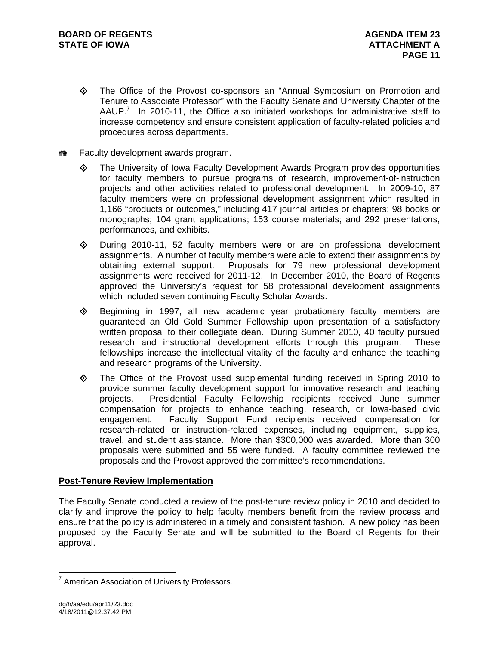The Office of the Provost co-sponsors an "Annual Symposium on Promotion and Tenure to Associate Professor" with the Faculty Senate and University Chapter of the AAUP.<sup>7</sup> In 2010-11, the Office also initiated workshops for administrative staff to increase competency and ensure consistent application of faculty-related policies and procedures across departments.

# **## Faculty development awards program.**

- The University of Iowa Faculty Development Awards Program provides opportunities for faculty members to pursue programs of research, improvement-of-instruction projects and other activities related to professional development. In 2009-10, 87 faculty members were on professional development assignment which resulted in 1,166 "products or outcomes," including 417 journal articles or chapters; 98 books or monographs; 104 grant applications; 153 course materials; and 292 presentations, performances, and exhibits.
- $\Diamond$  During 2010-11, 52 faculty members were or are on professional development assignments. A number of faculty members were able to extend their assignments by obtaining external support. Proposals for 79 new professional development assignments were received for 2011-12. In December 2010, the Board of Regents approved the University's request for 58 professional development assignments which included seven continuing Faculty Scholar Awards.
- $\Leftrightarrow$  Beginning in 1997, all new academic year probationary faculty members are guaranteed an Old Gold Summer Fellowship upon presentation of a satisfactory written proposal to their collegiate dean. During Summer 2010, 40 faculty pursued research and instructional development efforts through this program. These fellowships increase the intellectual vitality of the faculty and enhance the teaching and research programs of the University.
- $\Diamond$  The Office of the Provost used supplemental funding received in Spring 2010 to provide summer faculty development support for innovative research and teaching projects. Presidential Faculty Fellowship recipients received June summer compensation for projects to enhance teaching, research, or Iowa-based civic engagement. Faculty Support Fund recipients received compensation for research-related or instruction-related expenses, including equipment, supplies, travel, and student assistance. More than \$300,000 was awarded. More than 300 proposals were submitted and 55 were funded. A faculty committee reviewed the proposals and the Provost approved the committee's recommendations.

# **Post-Tenure Review Implementation**

The Faculty Senate conducted a review of the post-tenure review policy in 2010 and decided to clarify and improve the policy to help faculty members benefit from the review process and ensure that the policy is administered in a timely and consistent fashion. A new policy has been proposed by the Faculty Senate and will be submitted to the Board of Regents for their approval.

 $\overline{a}$ 

<sup>&</sup>lt;sup>7</sup> American Association of University Professors.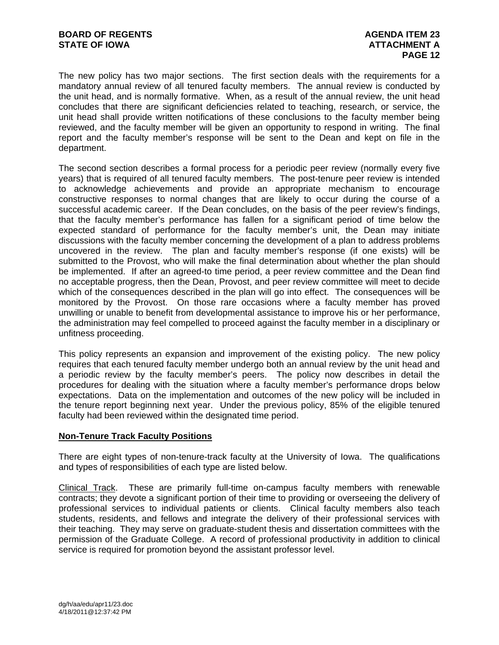The new policy has two major sections. The first section deals with the requirements for a mandatory annual review of all tenured faculty members. The annual review is conducted by the unit head, and is normally formative. When, as a result of the annual review, the unit head concludes that there are significant deficiencies related to teaching, research, or service, the unit head shall provide written notifications of these conclusions to the faculty member being reviewed, and the faculty member will be given an opportunity to respond in writing. The final report and the faculty member's response will be sent to the Dean and kept on file in the department.

The second section describes a formal process for a periodic peer review (normally every five years) that is required of all tenured faculty members. The post-tenure peer review is intended to acknowledge achievements and provide an appropriate mechanism to encourage constructive responses to normal changes that are likely to occur during the course of a successful academic career. If the Dean concludes, on the basis of the peer review's findings, that the faculty member's performance has fallen for a significant period of time below the expected standard of performance for the faculty member's unit, the Dean may initiate discussions with the faculty member concerning the development of a plan to address problems uncovered in the review. The plan and faculty member's response (if one exists) will be submitted to the Provost, who will make the final determination about whether the plan should be implemented. If after an agreed-to time period, a peer review committee and the Dean find no acceptable progress, then the Dean, Provost, and peer review committee will meet to decide which of the consequences described in the plan will go into effect. The consequences will be monitored by the Provost. On those rare occasions where a faculty member has proved unwilling or unable to benefit from developmental assistance to improve his or her performance, the administration may feel compelled to proceed against the faculty member in a disciplinary or unfitness proceeding.

This policy represents an expansion and improvement of the existing policy. The new policy requires that each tenured faculty member undergo both an annual review by the unit head and a periodic review by the faculty member's peers. The policy now describes in detail the procedures for dealing with the situation where a faculty member's performance drops below expectations. Data on the implementation and outcomes of the new policy will be included in the tenure report beginning next year. Under the previous policy, 85% of the eligible tenured faculty had been reviewed within the designated time period.

# **Non-Tenure Track Faculty Positions**

There are eight types of non-tenure-track faculty at the University of Iowa. The qualifications and types of responsibilities of each type are listed below.

Clinical Track. These are primarily full-time on-campus faculty members with renewable contracts; they devote a significant portion of their time to providing or overseeing the delivery of professional services to individual patients or clients. Clinical faculty members also teach students, residents, and fellows and integrate the delivery of their professional services with their teaching. They may serve on graduate-student thesis and dissertation committees with the permission of the Graduate College. A record of professional productivity in addition to clinical service is required for promotion beyond the assistant professor level.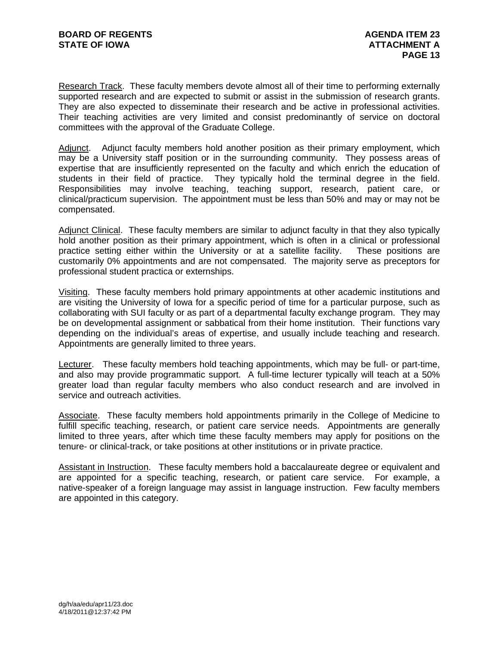Research Track. These faculty members devote almost all of their time to performing externally supported research and are expected to submit or assist in the submission of research grants. They are also expected to disseminate their research and be active in professional activities. Their teaching activities are very limited and consist predominantly of service on doctoral committees with the approval of the Graduate College.

Adjunct. Adjunct faculty members hold another position as their primary employment, which may be a University staff position or in the surrounding community. They possess areas of expertise that are insufficiently represented on the faculty and which enrich the education of students in their field of practice. They typically hold the terminal degree in the field. Responsibilities may involve teaching, teaching support, research, patient care, or clinical/practicum supervision. The appointment must be less than 50% and may or may not be compensated.

Adjunct Clinical. These faculty members are similar to adjunct faculty in that they also typically hold another position as their primary appointment, which is often in a clinical or professional practice setting either within the University or at a satellite facility. These positions are customarily 0% appointments and are not compensated. The majority serve as preceptors for professional student practica or externships.

Visiting. These faculty members hold primary appointments at other academic institutions and are visiting the University of Iowa for a specific period of time for a particular purpose, such as collaborating with SUI faculty or as part of a departmental faculty exchange program. They may be on developmental assignment or sabbatical from their home institution. Their functions vary depending on the individual's areas of expertise, and usually include teaching and research. Appointments are generally limited to three years.

Lecturer. These faculty members hold teaching appointments, which may be full- or part-time, and also may provide programmatic support. A full-time lecturer typically will teach at a 50% greater load than regular faculty members who also conduct research and are involved in service and outreach activities.

Associate. These faculty members hold appointments primarily in the College of Medicine to fulfill specific teaching, research, or patient care service needs. Appointments are generally limited to three years, after which time these faculty members may apply for positions on the tenure- or clinical-track, or take positions at other institutions or in private practice.

Assistant in Instruction. These faculty members hold a baccalaureate degree or equivalent and are appointed for a specific teaching, research, or patient care service. For example, a native-speaker of a foreign language may assist in language instruction. Few faculty members are appointed in this category.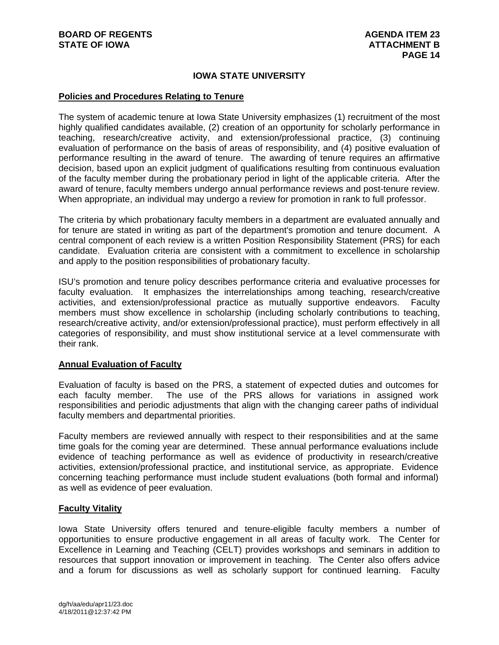# **IOWA STATE UNIVERSITY**

#### **Policies and Procedures Relating to Tenure**

The system of academic tenure at Iowa State University emphasizes (1) recruitment of the most highly qualified candidates available, (2) creation of an opportunity for scholarly performance in teaching, research/creative activity, and extension/professional practice, (3) continuing evaluation of performance on the basis of areas of responsibility, and (4) positive evaluation of performance resulting in the award of tenure. The awarding of tenure requires an affirmative decision, based upon an explicit judgment of qualifications resulting from continuous evaluation of the faculty member during the probationary period in light of the applicable criteria. After the award of tenure, faculty members undergo annual performance reviews and post-tenure review. When appropriate, an individual may undergo a review for promotion in rank to full professor.

The criteria by which probationary faculty members in a department are evaluated annually and for tenure are stated in writing as part of the department's promotion and tenure document. A central component of each review is a written Position Responsibility Statement (PRS) for each candidate. Evaluation criteria are consistent with a commitment to excellence in scholarship and apply to the position responsibilities of probationary faculty.

ISU's promotion and tenure policy describes performance criteria and evaluative processes for faculty evaluation. It emphasizes the interrelationships among teaching, research/creative activities, and extension/professional practice as mutually supportive endeavors. Faculty members must show excellence in scholarship (including scholarly contributions to teaching, research/creative activity, and/or extension/professional practice), must perform effectively in all categories of responsibility, and must show institutional service at a level commensurate with their rank.

# **Annual Evaluation of Faculty**

Evaluation of faculty is based on the PRS, a statement of expected duties and outcomes for each faculty member. The use of the PRS allows for variations in assigned work responsibilities and periodic adjustments that align with the changing career paths of individual faculty members and departmental priorities.

Faculty members are reviewed annually with respect to their responsibilities and at the same time goals for the coming year are determined. These annual performance evaluations include evidence of teaching performance as well as evidence of productivity in research/creative activities, extension/professional practice, and institutional service, as appropriate. Evidence concerning teaching performance must include student evaluations (both formal and informal) as well as evidence of peer evaluation.

# **Faculty Vitality**

Iowa State University offers tenured and tenure-eligible faculty members a number of opportunities to ensure productive engagement in all areas of faculty work. The Center for Excellence in Learning and Teaching (CELT) provides workshops and seminars in addition to resources that support innovation or improvement in teaching. The Center also offers advice and a forum for discussions as well as scholarly support for continued learning. Faculty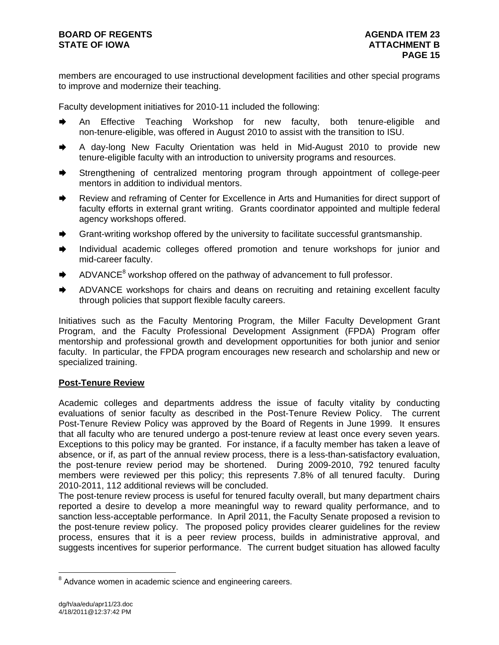members are encouraged to use instructional development facilities and other special programs to improve and modernize their teaching.

Faculty development initiatives for 2010-11 included the following:

- An Effective Teaching Workshop for new faculty, both tenure-eligible and non-tenure-eligible, was offered in August 2010 to assist with the transition to ISU.
- A day-long New Faculty Orientation was held in Mid-August 2010 to provide new tenure-eligible faculty with an introduction to university programs and resources.
- Strengthening of centralized mentoring program through appointment of college-peer mentors in addition to individual mentors.
- Review and reframing of Center for Excellence in Arts and Humanities for direct support of faculty efforts in external grant writing. Grants coordinator appointed and multiple federal agency workshops offered.
- Grant-writing workshop offered by the university to facilitate successful grantsmanship.
- Individual academic colleges offered promotion and tenure workshops for junior and mid-career faculty.
- $\blacktriangleright$  ADVANCE<sup>8</sup> workshop offered on the pathway of advancement to full professor.
- ADVANCE workshops for chairs and deans on recruiting and retaining excellent faculty through policies that support flexible faculty careers.

Initiatives such as the Faculty Mentoring Program, the Miller Faculty Development Grant Program, and the Faculty Professional Development Assignment (FPDA) Program offer mentorship and professional growth and development opportunities for both junior and senior faculty. In particular, the FPDA program encourages new research and scholarship and new or specialized training.

# **Post-Tenure Review**

Academic colleges and departments address the issue of faculty vitality by conducting evaluations of senior faculty as described in the Post-Tenure Review Policy. The current Post-Tenure Review Policy was approved by the Board of Regents in June 1999. It ensures that all faculty who are tenured undergo a post-tenure review at least once every seven years. Exceptions to this policy may be granted. For instance, if a faculty member has taken a leave of absence, or if, as part of the annual review process, there is a less-than-satisfactory evaluation, the post-tenure review period may be shortened. During 2009-2010, 792 tenured faculty members were reviewed per this policy; this represents 7.8% of all tenured faculty. During 2010-2011, 112 additional reviews will be concluded.

The post-tenure review process is useful for tenured faculty overall, but many department chairs reported a desire to develop a more meaningful way to reward quality performance, and to sanction less-acceptable performance. In April 2011, the Faculty Senate proposed a revision to the post-tenure review policy. The proposed policy provides clearer guidelines for the review process, ensures that it is a peer review process, builds in administrative approval, and suggests incentives for superior performance. The current budget situation has allowed faculty

 $\overline{a}$ 

<sup>&</sup>lt;sup>8</sup> Advance women in academic science and engineering careers.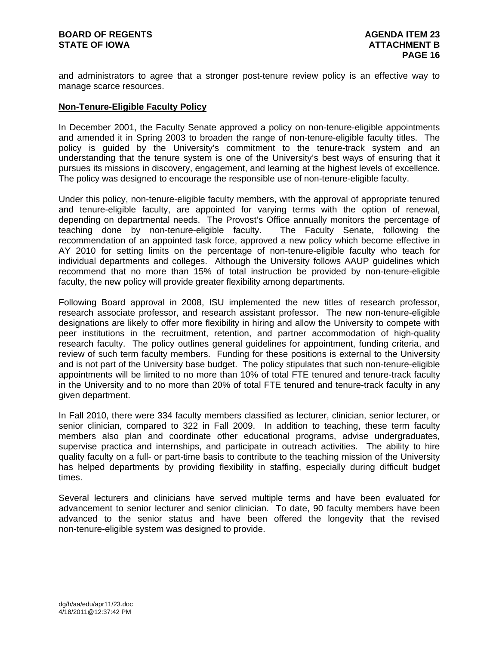and administrators to agree that a stronger post-tenure review policy is an effective way to manage scarce resources.

# **Non-Tenure-Eligible Faculty Policy**

In December 2001, the Faculty Senate approved a policy on non-tenure-eligible appointments and amended it in Spring 2003 to broaden the range of non-tenure-eligible faculty titles. The policy is guided by the University's commitment to the tenure-track system and an understanding that the tenure system is one of the University's best ways of ensuring that it pursues its missions in discovery, engagement, and learning at the highest levels of excellence. The policy was designed to encourage the responsible use of non-tenure-eligible faculty.

Under this policy, non-tenure-eligible faculty members, with the approval of appropriate tenured and tenure-eligible faculty, are appointed for varying terms with the option of renewal, depending on departmental needs. The Provost's Office annually monitors the percentage of teaching done by non-tenure-eligible faculty. The Faculty Senate, following the recommendation of an appointed task force, approved a new policy which become effective in AY 2010 for setting limits on the percentage of non-tenure-eligible faculty who teach for individual departments and colleges. Although the University follows AAUP guidelines which recommend that no more than 15% of total instruction be provided by non-tenure-eligible faculty, the new policy will provide greater flexibility among departments.

Following Board approval in 2008, ISU implemented the new titles of research professor, research associate professor, and research assistant professor. The new non-tenure-eligible designations are likely to offer more flexibility in hiring and allow the University to compete with peer institutions in the recruitment, retention, and partner accommodation of high-quality research faculty. The policy outlines general guidelines for appointment, funding criteria, and review of such term faculty members. Funding for these positions is external to the University and is not part of the University base budget. The policy stipulates that such non-tenure-eligible appointments will be limited to no more than 10% of total FTE tenured and tenure-track faculty in the University and to no more than 20% of total FTE tenured and tenure-track faculty in any given department.

In Fall 2010, there were 334 faculty members classified as lecturer, clinician, senior lecturer, or senior clinician, compared to 322 in Fall 2009. In addition to teaching, these term faculty members also plan and coordinate other educational programs, advise undergraduates, supervise practica and internships, and participate in outreach activities. The ability to hire quality faculty on a full- or part-time basis to contribute to the teaching mission of the University has helped departments by providing flexibility in staffing, especially during difficult budget times.

Several lecturers and clinicians have served multiple terms and have been evaluated for advancement to senior lecturer and senior clinician. To date, 90 faculty members have been advanced to the senior status and have been offered the longevity that the revised non-tenure-eligible system was designed to provide.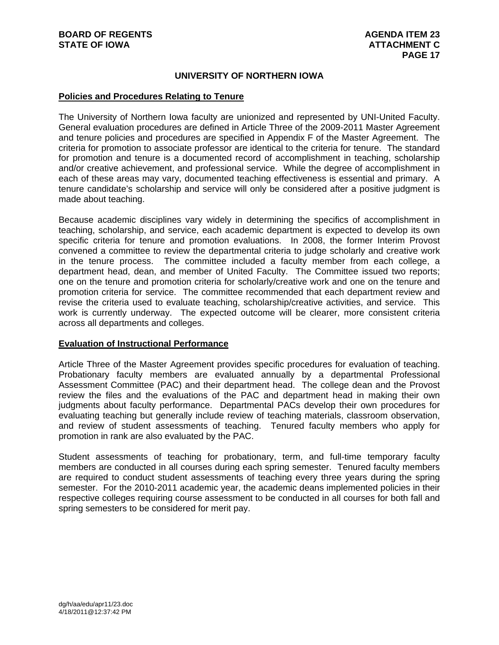# **UNIVERSITY OF NORTHERN IOWA**

# **Policies and Procedures Relating to Tenure**

The University of Northern Iowa faculty are unionized and represented by UNI-United Faculty. General evaluation procedures are defined in Article Three of the 2009-2011 Master Agreement and tenure policies and procedures are specified in Appendix F of the Master Agreement. The criteria for promotion to associate professor are identical to the criteria for tenure. The standard for promotion and tenure is a documented record of accomplishment in teaching, scholarship and/or creative achievement, and professional service. While the degree of accomplishment in each of these areas may vary, documented teaching effectiveness is essential and primary. A tenure candidate's scholarship and service will only be considered after a positive judgment is made about teaching.

Because academic disciplines vary widely in determining the specifics of accomplishment in teaching, scholarship, and service, each academic department is expected to develop its own specific criteria for tenure and promotion evaluations. In 2008, the former Interim Provost convened a committee to review the departmental criteria to judge scholarly and creative work in the tenure process. The committee included a faculty member from each college, a department head, dean, and member of United Faculty. The Committee issued two reports; one on the tenure and promotion criteria for scholarly/creative work and one on the tenure and promotion criteria for service. The committee recommended that each department review and revise the criteria used to evaluate teaching, scholarship/creative activities, and service. This work is currently underway. The expected outcome will be clearer, more consistent criteria across all departments and colleges.

# **Evaluation of Instructional Performance**

Article Three of the Master Agreement provides specific procedures for evaluation of teaching. Probationary faculty members are evaluated annually by a departmental Professional Assessment Committee (PAC) and their department head. The college dean and the Provost review the files and the evaluations of the PAC and department head in making their own judgments about faculty performance. Departmental PACs develop their own procedures for evaluating teaching but generally include review of teaching materials, classroom observation, and review of student assessments of teaching. Tenured faculty members who apply for promotion in rank are also evaluated by the PAC.

Student assessments of teaching for probationary, term, and full-time temporary faculty members are conducted in all courses during each spring semester. Tenured faculty members are required to conduct student assessments of teaching every three years during the spring semester. For the 2010-2011 academic year, the academic deans implemented policies in their respective colleges requiring course assessment to be conducted in all courses for both fall and spring semesters to be considered for merit pay.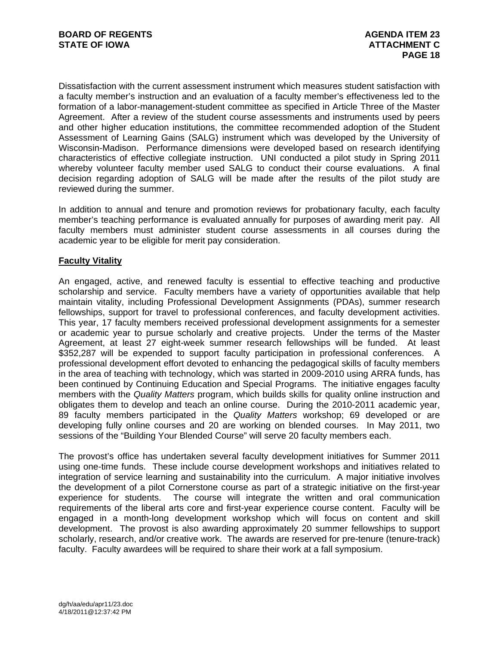Dissatisfaction with the current assessment instrument which measures student satisfaction with a faculty member's instruction and an evaluation of a faculty member's effectiveness led to the formation of a labor-management-student committee as specified in Article Three of the Master Agreement. After a review of the student course assessments and instruments used by peers and other higher education institutions, the committee recommended adoption of the Student Assessment of Learning Gains (SALG) instrument which was developed by the University of Wisconsin-Madison. Performance dimensions were developed based on research identifying characteristics of effective collegiate instruction. UNI conducted a pilot study in Spring 2011 whereby volunteer faculty member used SALG to conduct their course evaluations. A final decision regarding adoption of SALG will be made after the results of the pilot study are reviewed during the summer.

In addition to annual and tenure and promotion reviews for probationary faculty, each faculty member's teaching performance is evaluated annually for purposes of awarding merit pay. All faculty members must administer student course assessments in all courses during the academic year to be eligible for merit pay consideration.

# **Faculty Vitality**

An engaged, active, and renewed faculty is essential to effective teaching and productive scholarship and service. Faculty members have a variety of opportunities available that help maintain vitality, including Professional Development Assignments (PDAs), summer research fellowships, support for travel to professional conferences, and faculty development activities. This year, 17 faculty members received professional development assignments for a semester or academic year to pursue scholarly and creative projects. Under the terms of the Master Agreement, at least 27 eight-week summer research fellowships will be funded. At least \$352,287 will be expended to support faculty participation in professional conferences. A professional development effort devoted to enhancing the pedagogical skills of faculty members in the area of teaching with technology, which was started in 2009-2010 using ARRA funds, has been continued by Continuing Education and Special Programs. The initiative engages faculty members with the *Quality Matters* program, which builds skills for quality online instruction and obligates them to develop and teach an online course. During the 2010-2011 academic year, 89 faculty members participated in the *Quality Matters* workshop; 69 developed or are developing fully online courses and 20 are working on blended courses. In May 2011, two sessions of the "Building Your Blended Course" will serve 20 faculty members each.

The provost's office has undertaken several faculty development initiatives for Summer 2011 using one-time funds. These include course development workshops and initiatives related to integration of service learning and sustainability into the curriculum. A major initiative involves the development of a pilot Cornerstone course as part of a strategic initiative on the first-year experience for students. The course will integrate the written and oral communication requirements of the liberal arts core and first-year experience course content. Faculty will be engaged in a month-long development workshop which will focus on content and skill development. The provost is also awarding approximately 20 summer fellowships to support scholarly, research, and/or creative work. The awards are reserved for pre-tenure (tenure-track) faculty. Faculty awardees will be required to share their work at a fall symposium.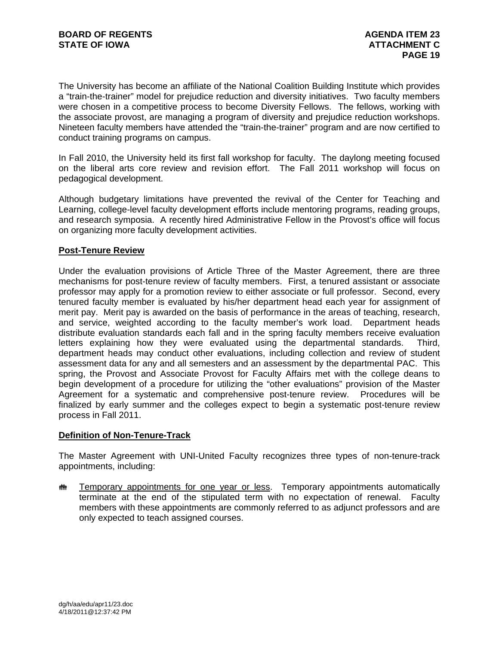The University has become an affiliate of the National Coalition Building Institute which provides a "train-the-trainer" model for prejudice reduction and diversity initiatives. Two faculty members were chosen in a competitive process to become Diversity Fellows. The fellows, working with the associate provost, are managing a program of diversity and prejudice reduction workshops. Nineteen faculty members have attended the "train-the-trainer" program and are now certified to conduct training programs on campus.

In Fall 2010, the University held its first fall workshop for faculty. The daylong meeting focused on the liberal arts core review and revision effort. The Fall 2011 workshop will focus on pedagogical development.

Although budgetary limitations have prevented the revival of the Center for Teaching and Learning, college-level faculty development efforts include mentoring programs, reading groups, and research symposia. A recently hired Administrative Fellow in the Provost's office will focus on organizing more faculty development activities.

# **Post-Tenure Review**

Under the evaluation provisions of Article Three of the Master Agreement, there are three mechanisms for post-tenure review of faculty members. First, a tenured assistant or associate professor may apply for a promotion review to either associate or full professor. Second, every tenured faculty member is evaluated by his/her department head each year for assignment of merit pay. Merit pay is awarded on the basis of performance in the areas of teaching, research, and service, weighted according to the faculty member's work load. Department heads distribute evaluation standards each fall and in the spring faculty members receive evaluation letters explaining how they were evaluated using the departmental standards. Third, department heads may conduct other evaluations, including collection and review of student assessment data for any and all semesters and an assessment by the departmental PAC. This spring, the Provost and Associate Provost for Faculty Affairs met with the college deans to begin development of a procedure for utilizing the "other evaluations" provision of the Master Agreement for a systematic and comprehensive post-tenure review. Procedures will be finalized by early summer and the colleges expect to begin a systematic post-tenure review process in Fall 2011.

# **Definition of Non-Tenure-Track**

The Master Agreement with UNI-United Faculty recognizes three types of non-tenure-track appointments, including:

**# Temporary appointments for one year or less.** Temporary appointments automatically terminate at the end of the stipulated term with no expectation of renewal. Faculty members with these appointments are commonly referred to as adjunct professors and are only expected to teach assigned courses.